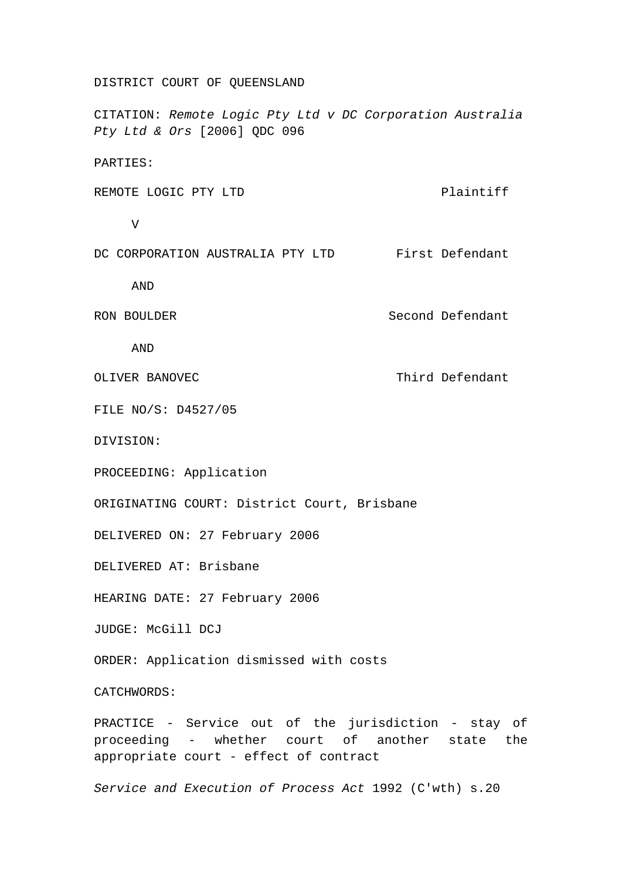## DISTRICT COURT OF QUEENSLAND

CITATION: *Remote Logic Pty Ltd v DC Corporation Australia Pty Ltd & Ors* [2006] QDC 096

PARTIES:

REMOTE LOGIC PTY LTD Plaintiff

V

DC CORPORATION AUSTRALIA PTY LTD First Defendant

AND

RON BOULDER Second Defendant

AND

OLIVER BANOVEC **Third Defendant** 

FILE NO/S: D4527/05

DIVISION:

PROCEEDING: Application

ORIGINATING COURT: District Court, Brisbane

DELIVERED ON: 27 February 2006

DELIVERED AT: Brisbane

HEARING DATE: 27 February 2006

JUDGE: McGill DCJ

ORDER: Application dismissed with costs

CATCHWORDS:

PRACTICE - Service out of the jurisdiction - stay of proceeding - whether court of another state the appropriate court - effect of contract

*Service and Execution of Process Act* 1992 (C'wth) s.20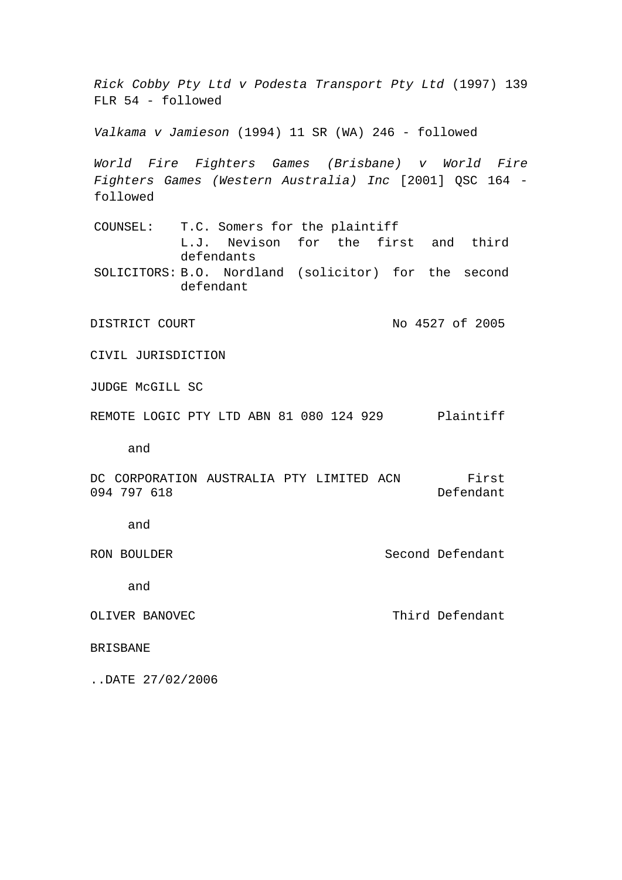*Rick Cobby Pty Ltd v Podesta Transport Pty Ltd* (1997) 139 FLR 54 - followed *Valkama v Jamieson* (1994) 11 SR (WA) 246 - followed *World Fire Fighters Games (Brisbane) v World Fire Fighters Games (Western Australia) Inc* [2001] QSC 164 followed COUNSEL: T.C. Somers for the plaintiff L.J. Nevison for the first and third defendants SOLICITORS: B.O. Nordland (solicitor) for the second defendant DISTRICT COURT No 4527 of 2005 CIVIL JURISDICTION JUDGE McGILL SC REMOTE LOGIC PTY LTD ABN 81 080 124 929 Plaintiff and DC CORPORATION AUSTRALIA PTY LIMITED ACN 094 797 618 First Defendant Second Defendant Third Defendant and RON BOULDER and OLIVER BANOVEC BRISBANE ..DATE 27/02/2006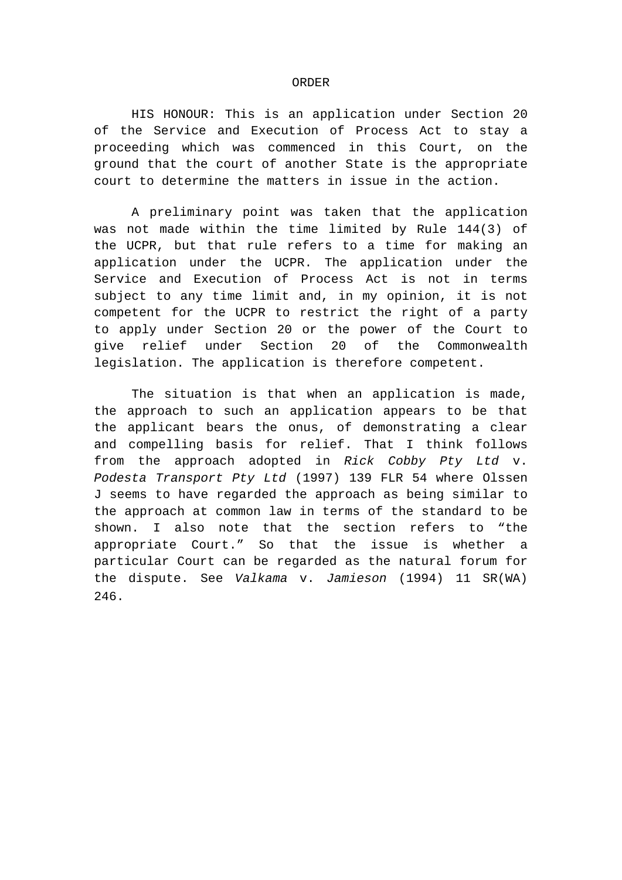## ORDER

HIS HONOUR: This is an application under Section 20 of the Service and Execution of Process Act to stay a proceeding which was commenced in this Court, on the ground that the court of another State is the appropriate court to determine the matters in issue in the action.

A preliminary point was taken that the application was not made within the time limited by Rule 144(3) of the UCPR, but that rule refers to a time for making an application under the UCPR. The application under the Service and Execution of Process Act is not in terms subject to any time limit and, in my opinion, it is not competent for the UCPR to restrict the right of a party to apply under Section 20 or the power of the Court to give relief under Section 20 of the Commonwealth legislation. The application is therefore competent.

The situation is that when an application is made, the approach to such an application appears to be that the applicant bears the onus, of demonstrating a clear and compelling basis for relief. That I think follows from the approach adopted in *Rick Cobby Pty Ltd* v. *Podesta Transport Pty Ltd* (1997) 139 FLR 54 where Olssen J seems to have regarded the approach as being similar to the approach at common law in terms of the standard to be shown. I also note that the section refers to "the appropriate Court." So that the issue is whether a particular Court can be regarded as the natural forum for the dispute. See *Valkama* v. *Jamieson* (1994) 11 SR(WA) 246.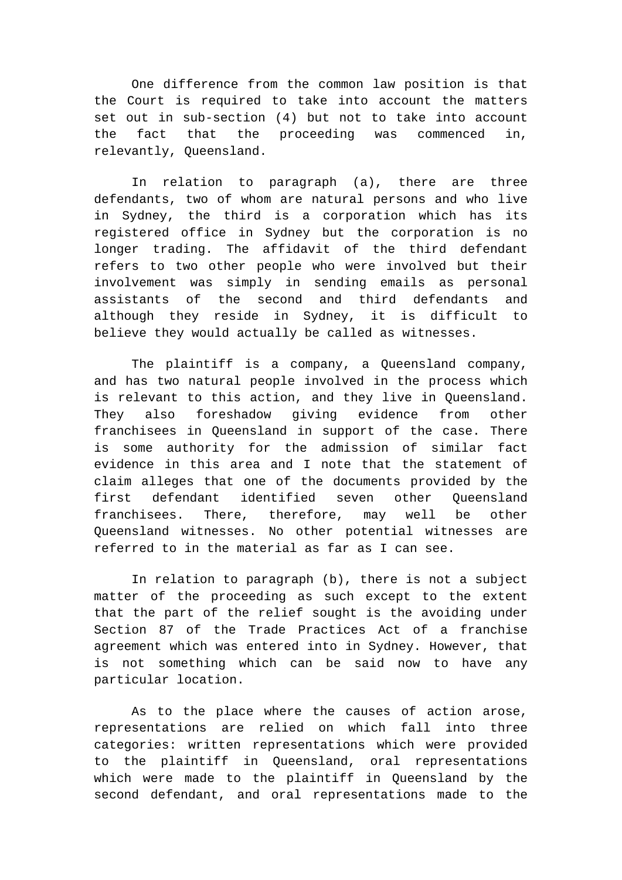One difference from the common law position is that the Court is required to take into account the matters set out in sub-section (4) but not to take into account the fact that the proceeding was commenced in, relevantly, Queensland.

In relation to paragraph (a), there are three defendants, two of whom are natural persons and who live in Sydney, the third is a corporation which has its registered office in Sydney but the corporation is no longer trading. The affidavit of the third defendant refers to two other people who were involved but their involvement was simply in sending emails as personal assistants of the second and third defendants and although they reside in Sydney, it is difficult to believe they would actually be called as witnesses.

The plaintiff is a company, a Queensland company, and has two natural people involved in the process which is relevant to this action, and they live in Queensland. They also foreshadow giving evidence from other franchisees in Queensland in support of the case. There is some authority for the admission of similar fact evidence in this area and I note that the statement of claim alleges that one of the documents provided by the first defendant identified seven other Queensland franchisees. There, therefore, may well be other Queensland witnesses. No other potential witnesses are referred to in the material as far as I can see.

In relation to paragraph (b), there is not a subject matter of the proceeding as such except to the extent that the part of the relief sought is the avoiding under Section 87 of the Trade Practices Act of a franchise agreement which was entered into in Sydney. However, that is not something which can be said now to have any particular location.

As to the place where the causes of action arose, representations are relied on which fall into three categories: written representations which were provided to the plaintiff in Queensland, oral representations which were made to the plaintiff in Queensland by the second defendant, and oral representations made to the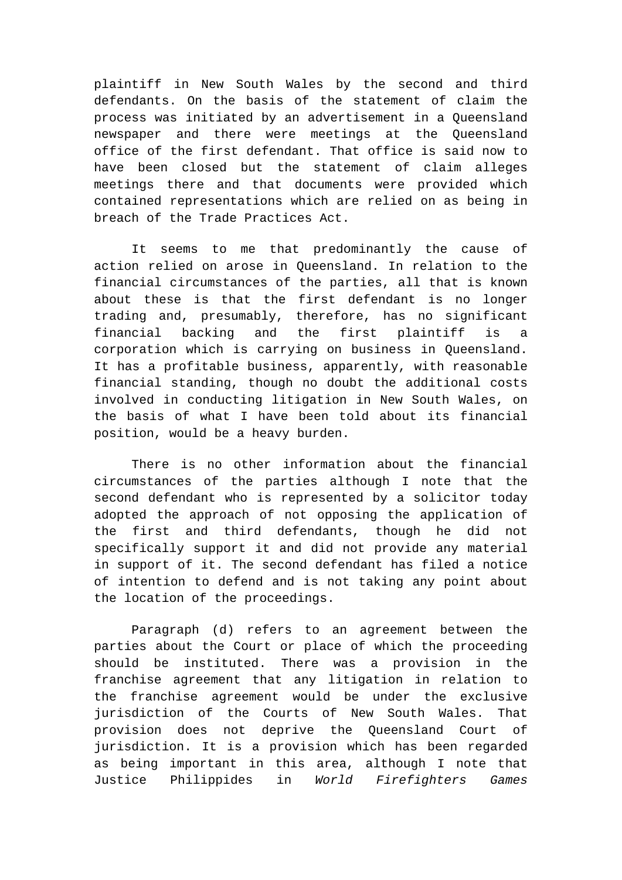plaintiff in New South Wales by the second and third defendants. On the basis of the statement of claim the process was initiated by an advertisement in a Queensland newspaper and there were meetings at the Queensland office of the first defendant. That office is said now to have been closed but the statement of claim alleges meetings there and that documents were provided which contained representations which are relied on as being in breach of the Trade Practices Act.

It seems to me that predominantly the cause of action relied on arose in Queensland. In relation to the financial circumstances of the parties, all that is known about these is that the first defendant is no longer trading and, presumably, therefore, has no significant financial backing and the first plaintiff is a corporation which is carrying on business in Queensland. It has a profitable business, apparently, with reasonable financial standing, though no doubt the additional costs involved in conducting litigation in New South Wales, on the basis of what I have been told about its financial position, would be a heavy burden.

There is no other information about the financial circumstances of the parties although I note that the second defendant who is represented by a solicitor today adopted the approach of not opposing the application of the first and third defendants, though he did not specifically support it and did not provide any material in support of it. The second defendant has filed a notice of intention to defend and is not taking any point about the location of the proceedings.

Paragraph (d) refers to an agreement between the parties about the Court or place of which the proceeding should be instituted. There was a provision in the franchise agreement that any litigation in relation to the franchise agreement would be under the exclusive jurisdiction of the Courts of New South Wales. That provision does not deprive the Queensland Court of jurisdiction. It is a provision which has been regarded as being important in this area, although I note that Justice Philippides in *World Firefighters Games*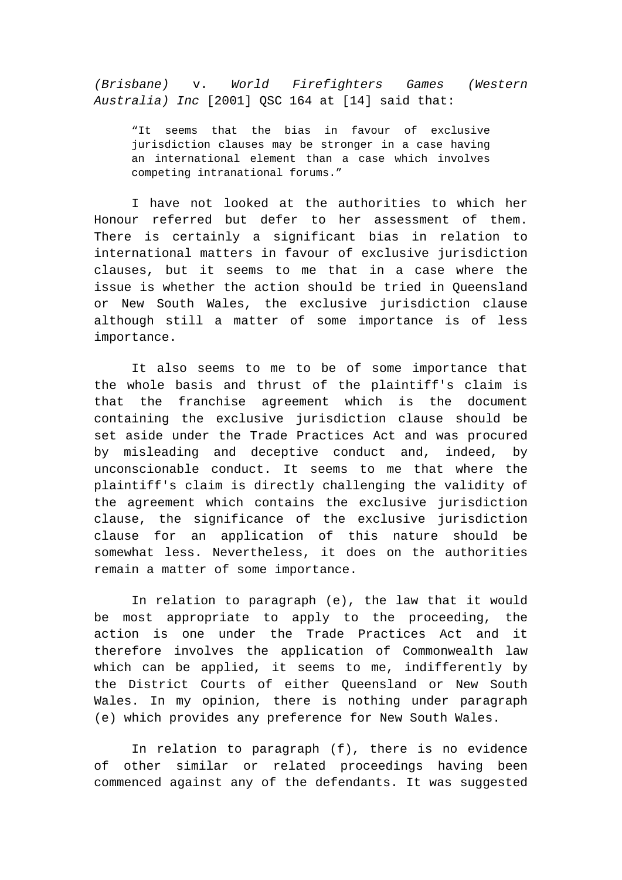*(Brisbane)* v. *World Firefighters Games (Western Australia) Inc* [2001] QSC 164 at [14] said that:

"It seems that the bias in favour of exclusive jurisdiction clauses may be stronger in a case having an international element than a case which involves competing intranational forums."

I have not looked at the authorities to which her Honour referred but defer to her assessment of them. There is certainly a significant bias in relation to international matters in favour of exclusive jurisdiction clauses, but it seems to me that in a case where the issue is whether the action should be tried in Queensland or New South Wales, the exclusive jurisdiction clause although still a matter of some importance is of less importance.

It also seems to me to be of some importance that the whole basis and thrust of the plaintiff's claim is that the franchise agreement which is the document containing the exclusive jurisdiction clause should be set aside under the Trade Practices Act and was procured by misleading and deceptive conduct and, indeed, by unconscionable conduct. It seems to me that where the plaintiff's claim is directly challenging the validity of the agreement which contains the exclusive jurisdiction clause, the significance of the exclusive jurisdiction clause for an application of this nature should be somewhat less. Nevertheless, it does on the authorities remain a matter of some importance.

In relation to paragraph (e), the law that it would be most appropriate to apply to the proceeding, the action is one under the Trade Practices Act and it therefore involves the application of Commonwealth law which can be applied, it seems to me, indifferently by the District Courts of either Queensland or New South Wales. In my opinion, there is nothing under paragraph (e) which provides any preference for New South Wales.

In relation to paragraph (f), there is no evidence of other similar or related proceedings having been commenced against any of the defendants. It was suggested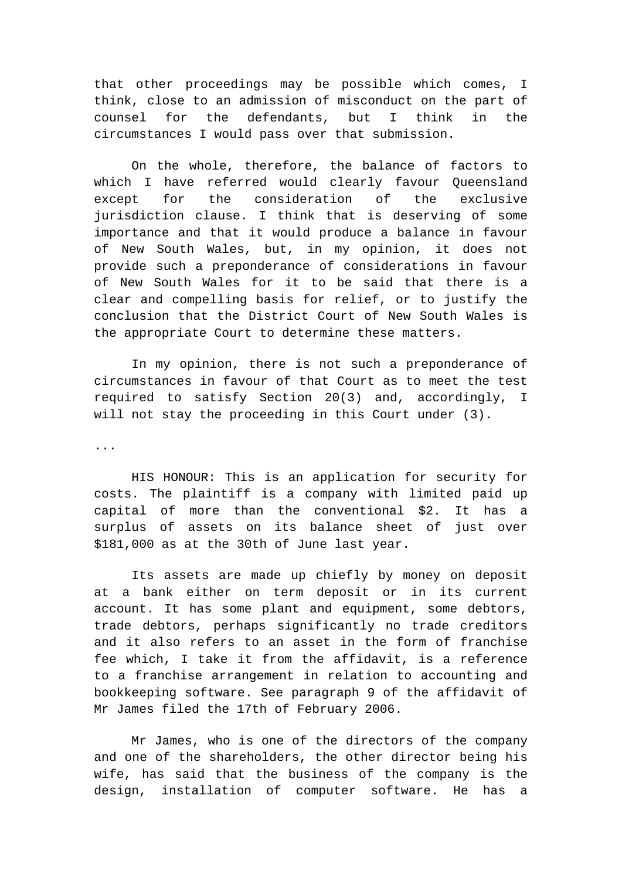that other proceedings may be possible which comes, I think, close to an admission of misconduct on the part of counsel for the defendants, but I think in the circumstances I would pass over that submission.

On the whole, therefore, the balance of factors to which I have referred would clearly favour Queensland except for the consideration of the exclusive jurisdiction clause. I think that is deserving of some importance and that it would produce a balance in favour of New South Wales, but, in my opinion, it does not provide such a preponderance of considerations in favour of New South Wales for it to be said that there is a clear and compelling basis for relief, or to justify the conclusion that the District Court of New South Wales is the appropriate Court to determine these matters.

In my opinion, there is not such a preponderance of circumstances in favour of that Court as to meet the test required to satisfy Section 20(3) and, accordingly, I will not stay the proceeding in this Court under (3).

...

HIS HONOUR: This is an application for security for costs. The plaintiff is a company with limited paid up capital of more than the conventional \$2. It has a surplus of assets on its balance sheet of just over \$181,000 as at the 30th of June last year.

Its assets are made up chiefly by money on deposit at a bank either on term deposit or in its current account. It has some plant and equipment, some debtors, trade debtors, perhaps significantly no trade creditors and it also refers to an asset in the form of franchise fee which, I take it from the affidavit, is a reference to a franchise arrangement in relation to accounting and bookkeeping software. See paragraph 9 of the affidavit of Mr James filed the 17th of February 2006.

Mr James, who is one of the directors of the company and one of the shareholders, the other director being his wife, has said that the business of the company is the design, installation of computer software. He has a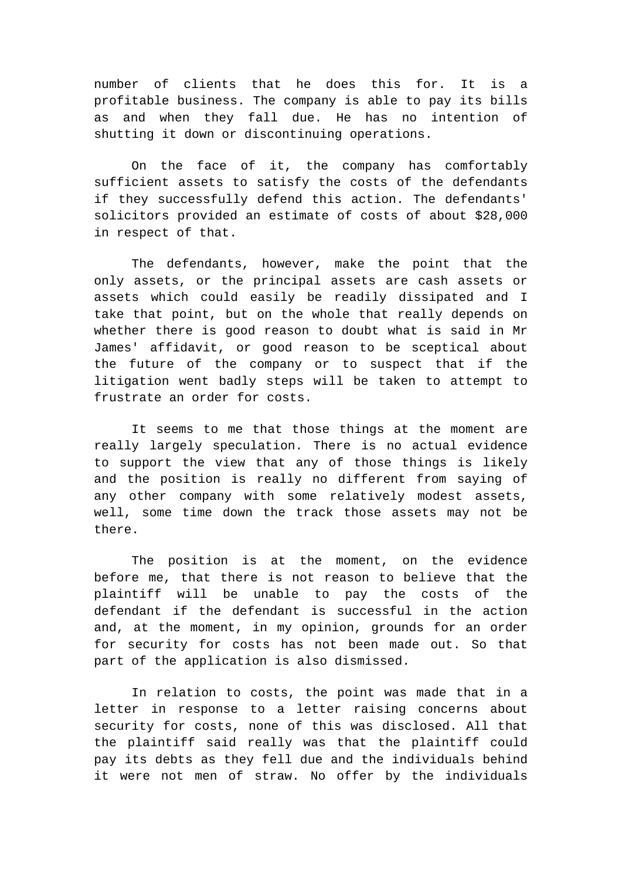number of clients that he does this for. It is a profitable business. The company is able to pay its bills as and when they fall due. He has no intention of shutting it down or discontinuing operations.

On the face of it, the company has comfortably sufficient assets to satisfy the costs of the defendants if they successfully defend this action. The defendants' solicitors provided an estimate of costs of about \$28,000 in respect of that.

The defendants, however, make the point that the only assets, or the principal assets are cash assets or assets which could easily be readily dissipated and I take that point, but on the whole that really depends on whether there is good reason to doubt what is said in Mr James' affidavit, or good reason to be sceptical about the future of the company or to suspect that if the litigation went badly steps will be taken to attempt to frustrate an order for costs.

It seems to me that those things at the moment are really largely speculation. There is no actual evidence to support the view that any of those things is likely and the position is really no different from saying of any other company with some relatively modest assets, well, some time down the track those assets may not be there.

The position is at the moment, on the evidence before me, that there is not reason to believe that the plaintiff will be unable to pay the costs of the defendant if the defendant is successful in the action and, at the moment, in my opinion, grounds for an order for security for costs has not been made out. So that part of the application is also dismissed.

In relation to costs, the point was made that in a letter in response to a letter raising concerns about security for costs, none of this was disclosed. All that the plaintiff said really was that the plaintiff could pay its debts as they fell due and the individuals behind it were not men of straw. No offer by the individuals